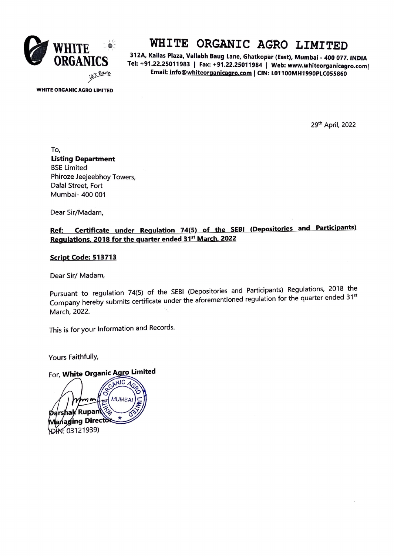

# **WHITE ORGANIC AGRO LIMITED**

**312A, Kailas Plaza, Vallabh Baug Lane, Ghatkopar (East) Mumbai\_ 400 077 INDIA**  Tel: +91.22.25011983 | Fax: +91.22.25011984 | Web: www.whiteorganicagro.com| **Email: 1nfo@wh1teorganicagro.com** I **CIN: L01100MH1990PLC055860** 

**WHITE ORGANIC AGRO LIMITED** 

29th April, 2022

To, **Listing Department**  BSE Limited Phiroze Jeejeebhoy Towers, Dalal Street, Fort Mumbai- 400 001

Dear Sir/Madam,

### **Ref: Certificate under Regulation 74(5) of the SEBI (Depositories and Participants) Regulations. 2018 for the quarter ended 31 st March. 2022**

#### **Script Code: 513713**

Dear Sir/ Madam,

Pursuant to regulation 74(5) of the SEBI (Depositories and Participants) Regulations, 2018 the Company hereby submits certificate under the aforementioned regulation for the quarter ended 31st March, 2022.

This is for your Information and Records.

Yours Faithfully,

## For, White Organic Agro Limited

ANIC For, *~-::~~:·* **ited** hak Rupan anaging Director DHY: 03121939)